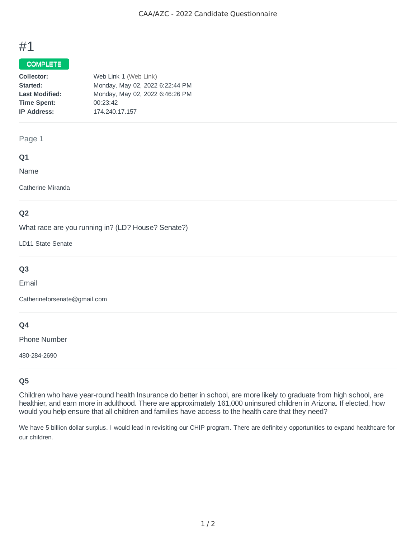# #1

## COMPLETE

| Collector:            | Web Link 1 (Web Link)           |
|-----------------------|---------------------------------|
| Started:              | Monday, May 02, 2022 6:22:44 PM |
| <b>Last Modified:</b> | Monday, May 02, 2022 6:46:26 PM |
| <b>Time Spent:</b>    | 00:23:42                        |
| <b>IP Address:</b>    | 174.240.17.157                  |

## Page 1

## **Q1**

Name

Catherine Miranda

## **Q2**

What race are you running in? (LD? House? Senate?)

LD11 State Senate

# **Q3**

Email

Catherineforsenate@gmail.com

## **Q4**

Phone Number

480-284-2690

## **Q5**

Children who have year-round health Insurance do better in school, are more likely to graduate from high school, are healthier, and earn more in adulthood. There are approximately 161,000 uninsured children in Arizona. If elected, how would you help ensure that all children and families have access to the health care that they need?

We have 5 billion dollar surplus. I would lead in revisiting our CHIP program. There are definitely opportunities to expand healthcare for our children.